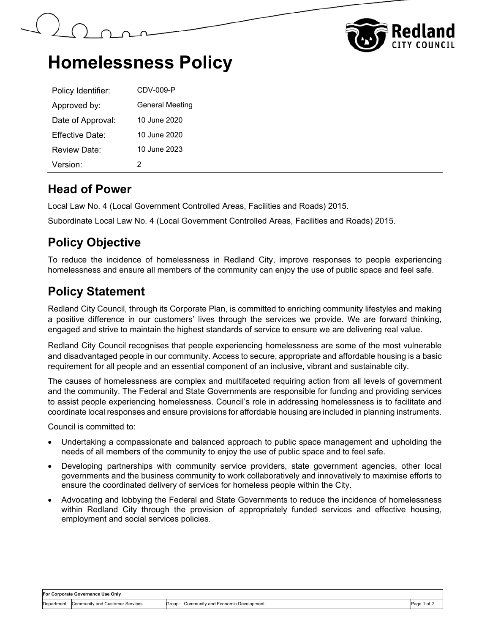



## **Homelessness Policy**

| Policy Identifier:   | CDV-009-P              |
|----------------------|------------------------|
| Approved by:         | <b>General Meeting</b> |
| Date of Approval:    | 10 June 2020           |
| Fffective Date:      | 10 June 2020           |
| Review Date:         | 10 June 2023           |
| Version <sup>.</sup> | 2                      |

#### **Head of Power**

Local Law No. 4 (Local Government Controlled Areas, Facilities and Roads) 2015.

Subordinate Local Law No. 4 (Local Government Controlled Areas, Facilities and Roads) 2015.

## **Policy Objective**

To reduce the incidence of homelessness in Redland City, improve responses to people experiencing homelessness and ensure all members of the community can enjoy the use of public space and feel safe.

### **Policy Statement**

Redland City Council, through its Corporate Plan, is committed to enriching community lifestyles and making a positive difference in our customers' lives through the services we provide. We are forward thinking, engaged and strive to maintain the highest standards of service to ensure we are delivering real value.

Redland City Council recognises that people experiencing homelessness are some of the most vulnerable and disadvantaged people in our community. Access to secure, appropriate and affordable housing is a basic requirement for all people and an essential component of an inclusive, vibrant and sustainable city.

The causes of homelessness are complex and multifaceted requiring action from all levels of government and the community. The Federal and State Governments are responsible for funding and providing services to assist people experiencing homelessness. Council's role in addressing homelessness is to facilitate and coordinate local responses and ensure provisions for affordable housing are included in planning instruments.

Council is committed to:

- Undertaking a compassionate and balanced approach to public space management and upholding the needs of all members of the community to enjoy the use of public space and to feel safe.
- Developing partnerships with community service providers, state government agencies, other local governments and the business community to work collaboratively and innovatively to maximise efforts to ensure the coordinated delivery of services for homeless people within the City.
- Advocating and lobbying the Federal and State Governments to reduce the incidence of homelessness within Redland City through the provision of appropriately funded services and effective housing, employment and social services policies.